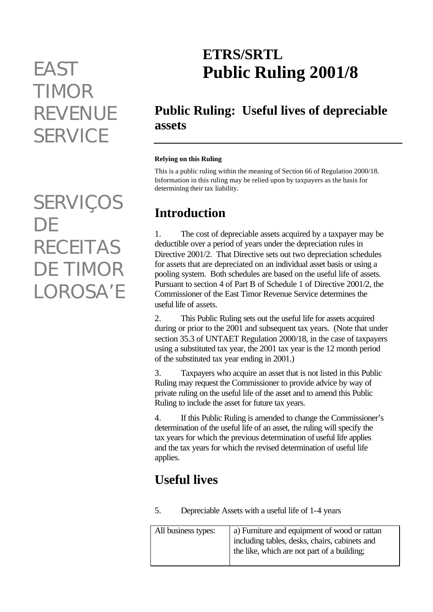# *TIMOR REVENUE SERVICE*

*SERVIÇOS DE RECEITAS DE TIMOR LOROSA'E*

# **ETRS/SRTL** *EAST* **Public Ruling 2001/8**

# **Public Ruling: Useful lives of depreciable assets**

#### **Relying on this Ruling**

This is a public ruling within the meaning of Section 66 of Regulation 2000/18. Information in this ruling may be relied upon by taxpayers as the basis for determining their tax liability.

# **Introduction**

1. The cost of depreciable assets acquired by a taxpayer may be deductible over a period of years under the depreciation rules in Directive 2001/2. That Directive sets out two depreciation schedules for assets that are depreciated on an individual asset basis or using a pooling system. Both schedules are based on the useful life of assets. Pursuant to section 4 of Part B of Schedule 1 of Directive 2001/2, the Commissioner of the East Timor Revenue Service determines the useful life of assets.

2. This Public Ruling sets out the useful life for assets acquired during or prior to the 2001 and subsequent tax years. (Note that under section 35.3 of UNTAET Regulation 2000/18, in the case of taxpayers using a substituted tax year, the 2001 tax year is the 12 month period of the substituted tax year ending in 2001.)

3. Taxpayers who acquire an asset that is not listed in this Public Ruling may request the Commissioner to provide advice by way of private ruling on the useful life of the asset and to amend this Public Ruling to include the asset for future tax years.

4. If this Public Ruling is amended to change the Commissioner's determination of the useful life of an asset, the ruling will specify the tax years for which the previous determination of useful life applies and the tax years for which the revised determination of useful life applies.

## **Useful lives**

5. Depreciable Assets with a useful life of 1-4 years

| All business types: | a) Furniture and equipment of wood or rattan                                                 |
|---------------------|----------------------------------------------------------------------------------------------|
|                     | including tables, desks, chairs, cabinets and<br>the like, which are not part of a building; |
|                     |                                                                                              |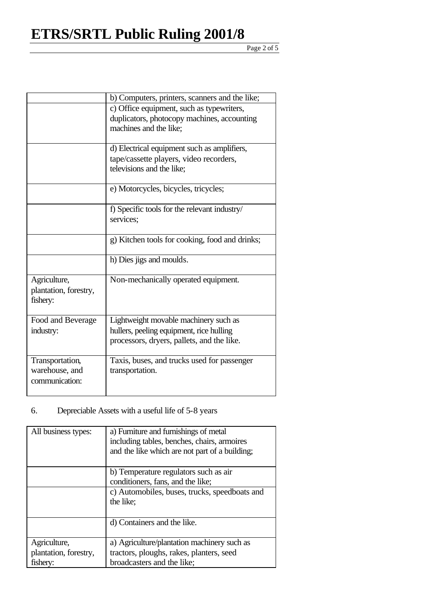# **ETRS/SRTL Public Ruling 2001/8**

#### Page 2 of 5

|                       | b) Computers, printers, scanners and the like; |
|-----------------------|------------------------------------------------|
|                       | c) Office equipment, such as typewriters,      |
|                       | duplicators, photocopy machines, accounting    |
|                       | machines and the like;                         |
|                       | d) Electrical equipment such as amplifiers,    |
|                       | tape/cassette players, video recorders,        |
|                       | televisions and the like;                      |
|                       |                                                |
|                       | e) Motorcycles, bicycles, tricycles;           |
|                       | f) Specific tools for the relevant industry/   |
|                       | services;                                      |
|                       | g) Kitchen tools for cooking, food and drinks; |
|                       | h) Dies jigs and moulds.                       |
| Agriculture,          | Non-mechanically operated equipment.           |
| plantation, forestry, |                                                |
| fishery:              |                                                |
| Food and Beverage     | Lightweight movable machinery such as          |
| industry:             | hullers, peeling equipment, rice hulling       |
|                       | processors, dryers, pallets, and the like.     |
| Transportation,       | Taxis, buses, and trucks used for passenger    |
| warehouse, and        | transportation.                                |
| communication:        |                                                |
|                       |                                                |

### 6. Depreciable Assets with a useful life of 5-8 years

| All business types:   | a) Furniture and furnishings of metal<br>including tables, benches, chairs, armoires<br>and the like which are not part of a building; |
|-----------------------|----------------------------------------------------------------------------------------------------------------------------------------|
|                       | b) Temperature regulators such as air                                                                                                  |
|                       | conditioners, fans, and the like;                                                                                                      |
|                       | c) Automobiles, buses, trucks, speedboats and                                                                                          |
|                       | the like;                                                                                                                              |
|                       | d) Containers and the like.                                                                                                            |
| Agriculture,          | a) Agriculture/plantation machinery such as                                                                                            |
| plantation, forestry, | tractors, ploughs, rakes, planters, seed                                                                                               |
| fisherv:              | broadcasters and the like;                                                                                                             |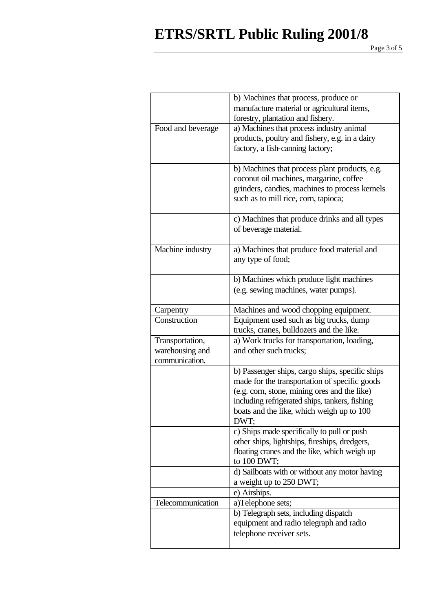# **ETRS/SRTL Public Ruling 2001/8**

Page 3 of 5

|                   | b) Machines that process, produce or            |
|-------------------|-------------------------------------------------|
|                   | manufacture material or agricultural items,     |
|                   | forestry, plantation and fishery.               |
| Food and beverage | a) Machines that process industry animal        |
|                   | products, poultry and fishery, e.g. in a dairy  |
|                   | factory, a fish-canning factory;                |
|                   |                                                 |
|                   | b) Machines that process plant products, e.g.   |
|                   | coconut oil machines, margarine, coffee         |
|                   | grinders, candies, machines to process kernels  |
|                   | such as to mill rice, corn, tapioca;            |
|                   |                                                 |
|                   | c) Machines that produce drinks and all types   |
|                   | of beverage material.                           |
|                   |                                                 |
| Machine industry  | a) Machines that produce food material and      |
|                   | any type of food;                               |
|                   |                                                 |
|                   | b) Machines which produce light machines        |
|                   | (e.g. sewing machines, water pumps).            |
|                   |                                                 |
| Carpentry         | Machines and wood chopping equipment.           |
| Construction      | Equipment used such as big trucks, dump         |
|                   | trucks, cranes, bulldozers and the like.        |
| Transportation,   | a) Work trucks for transportation, loading,     |
| warehousing and   | and other such trucks;                          |
| communication.    |                                                 |
|                   | b) Passenger ships, cargo ships, specific ships |
|                   | made for the transportation of specific goods   |
|                   | (e.g. corn, stone, mining ores and the like)    |
|                   | including refrigerated ships, tankers, fishing  |
|                   | boats and the like, which weigh up to 100       |
|                   | DWT:                                            |
|                   | c) Ships made specifically to pull or push      |
|                   | other ships, lightships, fireships, dredgers,   |
|                   | floating cranes and the like, which weigh up    |
|                   | to 100 DWT;                                     |
|                   | d) Sailboats with or without any motor having   |
|                   | a weight up to 250 DWT;                         |
|                   | e) Airships.                                    |
| Telecommunication | a)Telephone sets;                               |
|                   | b) Telegraph sets, including dispatch           |
|                   | equipment and radio telegraph and radio         |
|                   | telephone receiver sets.                        |
|                   |                                                 |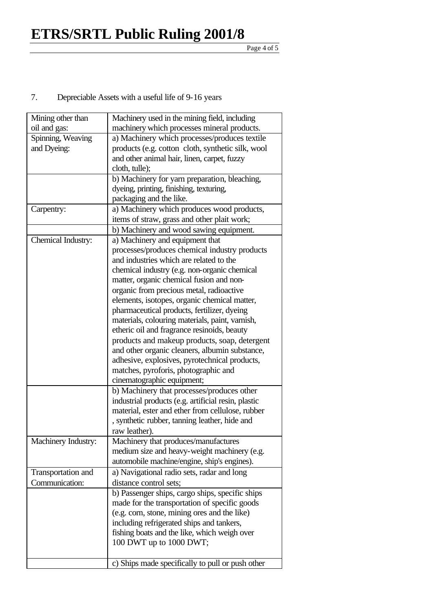Page 4 of 5

### 7. Depreciable Assets with a useful life of 9-16 years

| Mining other than   | Machinery used in the mining field, including       |
|---------------------|-----------------------------------------------------|
| oil and gas:        | machinery which processes mineral products.         |
| Spinning, Weaving   | a) Machinery which processes/produces textile       |
| and Dyeing:         | products (e.g. cotton cloth, synthetic silk, wool   |
|                     | and other animal hair, linen, carpet, fuzzy         |
|                     | cloth, tulle);                                      |
|                     | b) Machinery for yarn preparation, bleaching,       |
|                     | dyeing, printing, finishing, texturing,             |
|                     | packaging and the like.                             |
| Carpentry:          | a) Machinery which produces wood products,          |
|                     | items of straw, grass and other plait work;         |
|                     | b) Machinery and wood sawing equipment.             |
| Chemical Industry:  | a) Machinery and equipment that                     |
|                     | processes/produces chemical industry products       |
|                     | and industries which are related to the             |
|                     | chemical industry (e.g. non-organic chemical        |
|                     | matter, organic chemical fusion and non-            |
|                     | organic from precious metal, radioactive            |
|                     | elements, isotopes, organic chemical matter,        |
|                     | pharmaceutical products, fertilizer, dyeing         |
|                     | materials, colouring materials, paint, varnish,     |
|                     | etheric oil and fragrance resinoids, beauty         |
|                     | products and makeup products, soap, detergent       |
|                     | and other organic cleaners, albumin substance,      |
|                     | adhesive, explosives, pyrotechnical products,       |
|                     | matches, pyroforis, photographic and                |
|                     | cinematographic equipment;                          |
|                     | b) Machinery that processes/produces other          |
|                     | industrial products (e.g. artificial resin, plastic |
|                     | material, ester and ether from cellulose, rubber    |
|                     | , synthetic rubber, tanning leather, hide and       |
|                     | raw leather).                                       |
| Machinery Industry: | Machinery that produces/manufactures                |
|                     | medium size and heavy-weight machinery (e.g.        |
|                     | automobile machine/engine, ship's engines).         |
| Transportation and  | a) Navigational radio sets, radar and long          |
| Communication:      | distance control sets;                              |
|                     | b) Passenger ships, cargo ships, specific ships     |
|                     | made for the transportation of specific goods       |
|                     | (e.g. corn, stone, mining ores and the like)        |
|                     | including refrigerated ships and tankers,           |
|                     | fishing boats and the like, which weigh over        |
|                     | 100 DWT up to 1000 DWT;                             |
|                     |                                                     |
|                     | c) Ships made specifically to pull or push other    |